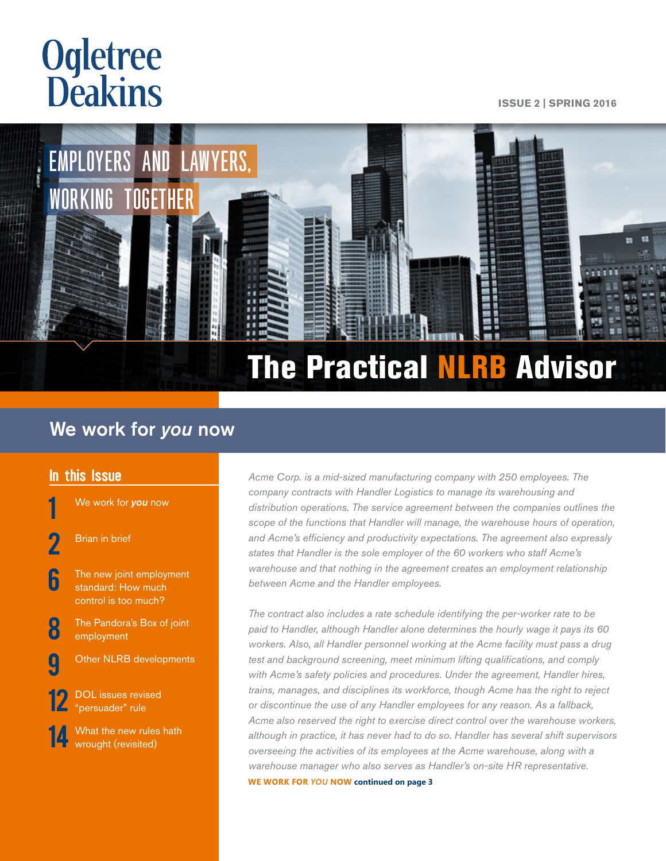# **Ogletree**<br>**Deakins**

#### **ISSUE 2 | SPRING 2016**



# We work for *you* now

#### In this Issue

1 We work for *you* now

- **[Brian in brief](#page-1-0)**
- The new joint employment [standard: How much](#page-5-0)  [control is too much?](#page-5-0)
- **[8](#page-7-0)** The Pandora's Box of joint [employment](#page-7-0)
- **C** [Other NLRB developments](#page-8-0)
	- DOL issues revised ["persuader" rule](#page-11-0)
	- What the new rules hath [wrought \(revisited\)](#page-13-0)

Acme Corp. is a mid-sized manufacturing company with 250 employees. The *company contracts with Handler Logistics to manage its warehousing and distribution operations. The service agreement between the companies outlines the scope of the functions that Handler will manage, the warehouse hours of operation, and Acme's efficiency and productivity expectations. The agreement also expressly states that Handler is the sole employer of the 60 workers who staff Acme's warehouse and that nothing in the agreement creates an employment relationship between Acme and the Handler employees.* 

*The contract also includes a rate schedule identifying the per-worker rate to be paid to Handler, although Handler alone determines the hourly wage it pays its 60 workers. Also, all Handler personnel working at the Acme facility must pass a drug test and background screening, meet minimum lifting qualifications, and comply with Acme's safety policies and procedures. Under the agreement, Handler hires, trains, manages, and disciplines its workforce, though Acme has the right to reject or discontinue the use of any Handler employees for any reason. As a fallback, Acme also reserved the right to exercise direct control over the warehouse workers, although in practice, it has never had to do so. Handler has several shift supervisors overseeing the activities of its employees at the Acme warehouse, along with a warehouse manager who also serves as Handler's on-site HR representative.* 

**WE WORK FOR** *YOU* **NOW continued on page 3**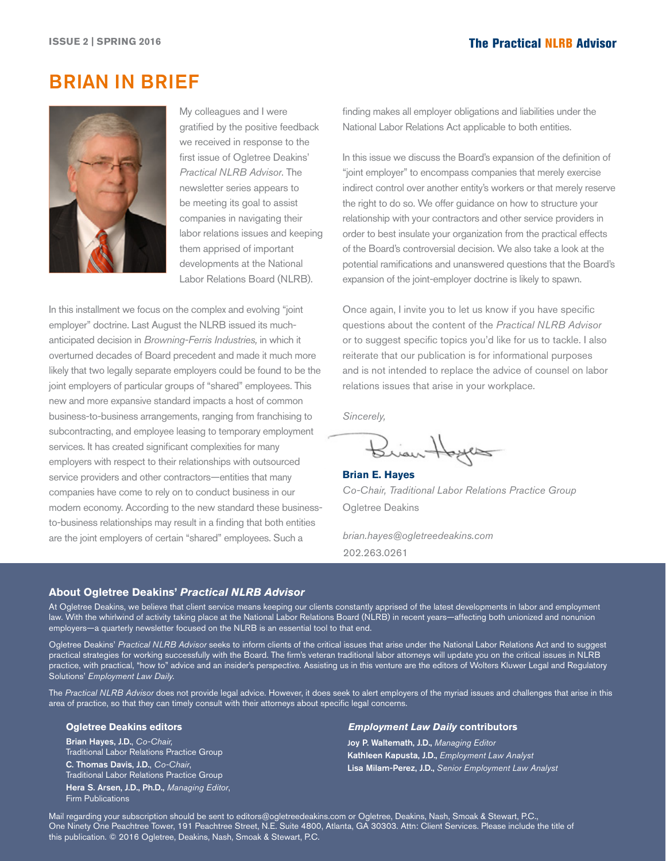# <span id="page-1-0"></span>BRIAN IN BRIEF



My colleagues and I were gratified by the positive feedback we received in response to the first issue of Ogletree Deakins' *Practical NLRB Advisor*. The newsletter series appears to be meeting its goal to assist companies in navigating their labor relations issues and keeping them apprised of important developments at the National Labor Relations Board (NLRB).

In this installment we focus on the complex and evolving "joint employer" doctrine. Last August the NLRB issued its muchanticipated decision in *Browning-Ferris Industries,* in which it overturned decades of Board precedent and made it much more likely that two legally separate employers could be found to be the joint employers of particular groups of "shared" employees. This new and more expansive standard impacts a host of common business-to-business arrangements, ranging from franchising to subcontracting, and employee leasing to temporary employment services. It has created significant complexities for many employers with respect to their relationships with outsourced service providers and other contractors—entities that many companies have come to rely on to conduct business in our modern economy. According to the new standard these businessto-business relationships may result in a finding that both entities are the joint employers of certain "shared" employees. Such a

finding makes all employer obligations and liabilities under the National Labor Relations Act applicable to both entities.

In this issue we discuss the Board's expansion of the definition of "joint employer" to encompass companies that merely exercise indirect control over another entity's workers or that merely reserve the right to do so. We offer guidance on how to structure your relationship with your contractors and other service providers in order to best insulate your organization from the practical effects of the Board's controversial decision. We also take a look at the potential ramifications and unanswered questions that the Board's expansion of the joint-employer doctrine is likely to spawn.

Once again, I invite you to let us know if you have specific questions about the content of the *Practical NLRB Advisor* or to suggest specific topics you'd like for us to tackle. I also reiterate that our publication is for informational purposes and is not intended to replace the advice of counsel on labor relations issues that arise in your workplace.

*Sincerely,*

Brian Hoyes

**Brian E. Hayes** *Co-Chair, Traditional Labor Relations Practice Group* Ogletree Deakins

*brian.hayes@ogletreedeakins.com* 202.263.0261

#### **About Ogletree Deakins'** *Practical NLRB Advisor*

At Ogletree Deakins, we believe that client service means keeping our clients constantly apprised of the latest developments in labor and employment law. With the whirlwind of activity taking place at the National Labor Relations Board (NLRB) in recent years—affecting both unionized and nonunion employers—a quarterly newsletter focused on the NLRB is an essential tool to that end.

Ogletree Deakins' *Practical NLRB Advisor* seeks to inform clients of the critical issues that arise under the National Labor Relations Act and to suggest practical strategies for working successfully with the Board. The firm's veteran traditional labor attorneys will update you on the critical issues in NLRB practice, with practical, "how to" advice and an insider's perspective. Assisting us in this venture are the editors of Wolters Kluwer Legal and Regulatory Solutions' *Employment Law Daily.*

The *Practical NLRB Advisor* does not provide legal advice. However, it does seek to alert employers of the myriad issues and challenges that arise in this area of practice, so that they can timely consult with their attorneys about specific legal concerns.

#### **Ogletree Deakins editors**

Brian Hayes, J.D., *Co-Chair,* Traditional Labor Relations Practice Group C. Thomas Davis, J.D., *Co-Chair*, Traditional Labor Relations Practice Group Hera S. Arsen, J.D., Ph.D., *Managing Editor*, Firm Publications

#### *Employment Law Daily* **contributors**

Joy P. Waltemath, J.D., *Managing Editor* Kathleen Kapusta, J.D., *Employment Law Analyst* Lisa Milam-Perez, J.D., *Senior Employment Law Analyst*

Mail regarding your subscription should be sent to editors@ogletreedeakins.com or Ogletree, Deakins, Nash, Smoak & Stewart, P.C., One Ninety One Peachtree Tower, 191 Peachtree Street, N.E. Suite 4800, Atlanta, GA 30303. Attn: Client Services. Please include the title of this publication. © 2016 Ogletree, Deakins, Nash, Smoak & Stewart, P.C.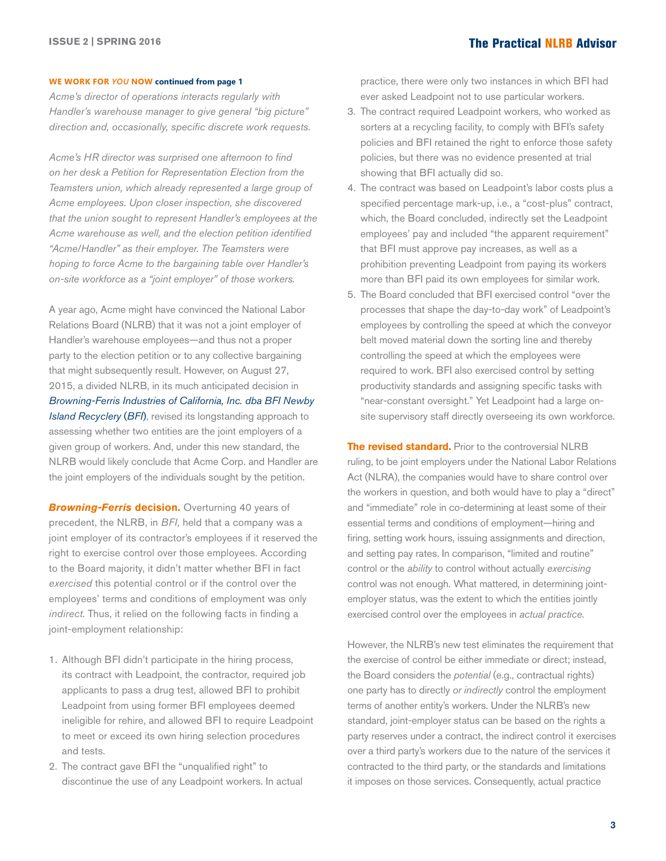#### **WE WORK FOR** *YOU* **NOW continued from page 1**

*Acme's director of operations interacts regularly with Handler's warehouse manager to give general "big picture" direction and, occasionally, specific discrete work requests.*

*Acme's HR director was surprised one afternoon to find on her desk a Petition for Representation Election from the Teamsters union, which already represented a large group of Acme employees. Upon closer inspection, she discovered that the union sought to represent Handler's employees at the Acme warehouse as well, and the election petition identified "Acme/Handler" as their employer. The Teamsters were hoping to force Acme to the bargaining table over Handler's on-site workforce as a "joint employer" of those workers.*

A year ago, Acme might have convinced the National Labor Relations Board (NLRB) that it was not a joint employer of Handler's warehouse employees—and thus not a proper party to the election petition or to any collective bargaining that might subsequently result. However, on August 27, 2015, a divided NLRB, in its much anticipated decision in *[Browning-Ferris Industries of California, Inc. dba BFI Newby](http://hr.cch.com/ELD/BrowningFerris.pdf)  [Island Recyclery](http://hr.cch.com/ELD/BrowningFerris.pdf)* (*BFI*), revised its longstanding approach to assessing whether two entities are the joint employers of a given group of workers. And, under this new standard, the NLRB would likely conclude that Acme Corp. and Handler are the joint employers of the individuals sought by the petition.

**Browning-Ferris decision.** Overturning 40 years of precedent, the NLRB, in *BFI,* held that a company was a joint employer of its contractor's employees if it reserved the right to exercise control over those employees. According to the Board majority, it didn't matter whether BFI in fact *exercised* this potential control or if the control over the employees' terms and conditions of employment was only *indirect.* Thus, it relied on the following facts in finding a joint-employment relationship:

- 1. Although BFI didn't participate in the hiring process, its contract with Leadpoint, the contractor, required job applicants to pass a drug test, allowed BFI to prohibit Leadpoint from using former BFI employees deemed ineligible for rehire, and allowed BFI to require Leadpoint to meet or exceed its own hiring selection procedures and tests.
- 2. The contract gave BFI the "unqualified right" to discontinue the use of any Leadpoint workers. In actual

practice, there were only two instances in which BFI had ever asked Leadpoint not to use particular workers.

- 3. The contract required Leadpoint workers, who worked as sorters at a recycling facility, to comply with BFI's safety policies and BFI retained the right to enforce those safety policies, but there was no evidence presented at trial showing that BFI actually did so.
- 4. The contract was based on Leadpoint's labor costs plus a specified percentage mark-up, i.e., a "cost-plus" contract, which, the Board concluded, indirectly set the Leadpoint employees' pay and included "the apparent requirement" that BFI must approve pay increases, as well as a prohibition preventing Leadpoint from paying its workers more than BFI paid its own employees for similar work.
- 5. The Board concluded that BFI exercised control "over the processes that shape the day-to-day work" of Leadpoint's employees by controlling the speed at which the conveyor belt moved material down the sorting line and thereby controlling the speed at which the employees were required to work. BFI also exercised control by setting productivity standards and assigning specific tasks with "near-constant oversight." Yet Leadpoint had a large onsite supervisory staff directly overseeing its own workforce.

**The revised standard.** Prior to the controversial NLRB ruling, to be joint employers under the National Labor Relations Act (NLRA), the companies would have to share control over the workers in question, and both would have to play a "direct" and "immediate" role in co-determining at least some of their essential terms and conditions of employment—hiring and firing, setting work hours, issuing assignments and direction, and setting pay rates. In comparison, "limited and routine" control or the *ability* to control without actually *exercising* control was not enough. What mattered, in determining jointemployer status, was the extent to which the entities jointly exercised control over the employees in *actual practice*.

However, the NLRB's new test eliminates the requirement that the exercise of control be either immediate or direct; instead, the Board considers the *potential* (e.g., contractual rights) one party has to directly *or indirectly* control the employment terms of another entity's workers. Under the NLRB's new standard, joint-employer status can be based on the rights a party reserves under a contract, the indirect control it exercises over a third party's workers due to the nature of the services it contracted to the third party, or the standards and limitations it imposes on those services. Consequently, actual practice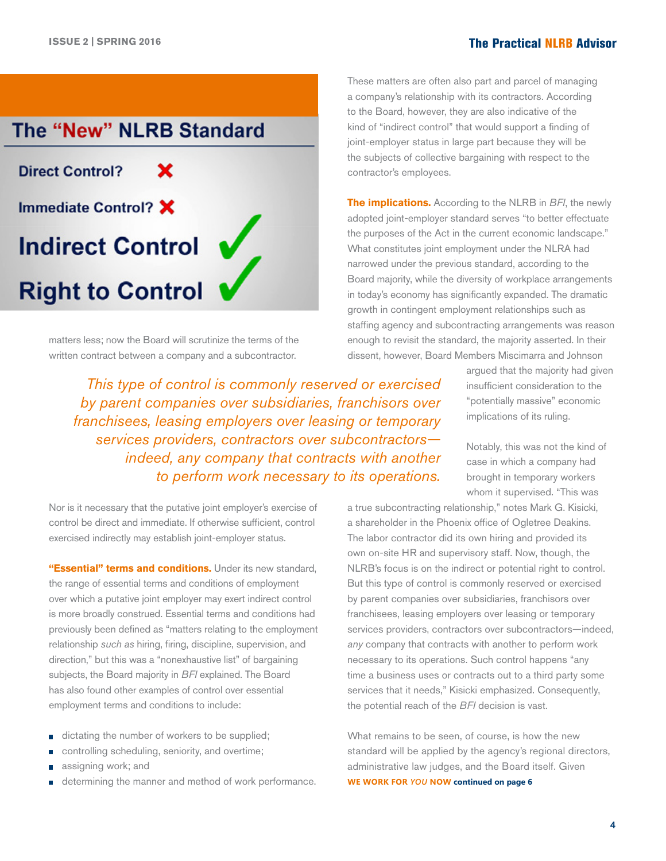

matters less; now the Board will scrutinize the terms of the written contract between a company and a subcontractor.

*This type of control is commonly reserved or exercised by parent companies over subsidiaries, franchisors over franchisees, leasing employers over leasing or temporary services providers, contractors over subcontractors indeed, any company that contracts with another to perform work necessary to its operations.*

Nor is it necessary that the putative joint employer's exercise of control be direct and immediate. If otherwise sufficient, control exercised indirectly may establish joint-employer status.

**"Essential" terms and conditions.** Under its new standard, the range of essential terms and conditions of employment over which a putative joint employer may exert indirect control is more broadly construed. Essential terms and conditions had previously been defined as "matters relating to the employment relationship *such as* hiring, firing, discipline, supervision, and direction," but this was a "nonexhaustive list" of bargaining subjects, the Board majority in *BFI* explained. The Board has also found other examples of control over essential employment terms and conditions to include:

- dictating the number of workers to be supplied; Ō
- controlling scheduling, seniority, and overtime; n.
- assigning work; and
- determining the manner and method of work performance. **WE WORK FOR** *YOU* **NOW continued on page 6** n

These matters are often also part and parcel of managing a company's relationship with its contractors. According to the Board, however, they are also indicative of the kind of "indirect control" that would support a finding of joint-employer status in large part because they will be the subjects of collective bargaining with respect to the contractor's employees.

**The implications.** According to the NLRB in *BFI*, the newly adopted joint-employer standard serves "to better effectuate the purposes of the Act in the current economic landscape." What constitutes joint employment under the NLRA had narrowed under the previous standard, according to the Board majority, while the diversity of workplace arrangements in today's economy has significantly expanded. The dramatic growth in contingent employment relationships such as staffing agency and subcontracting arrangements was reason enough to revisit the standard, the majority asserted. In their dissent, however, Board Members Miscimarra and Johnson

> argued that the majority had given insufficient consideration to the "potentially massive" economic implications of its ruling.

Notably, this was not the kind of case in which a company had brought in temporary workers whom it supervised. "This was

a true subcontracting relationship," notes Mark G. Kisicki, a shareholder in the Phoenix office of Ogletree Deakins. The labor contractor did its own hiring and provided its own on-site HR and supervisory staff. Now, though, the NLRB's focus is on the indirect or potential right to control. But this type of control is commonly reserved or exercised by parent companies over subsidiaries, franchisors over franchisees, leasing employers over leasing or temporary services providers, contractors over subcontractors—indeed, *any* company that contracts with another to perform work necessary to its operations. Such control happens "any time a business uses or contracts out to a third party some services that it needs," Kisicki emphasized. Consequently, the potential reach of the *BFI* decision is vast.

What remains to be seen, of course, is how the new standard will be applied by the agency's regional directors, administrative law judges, and the Board itself. Given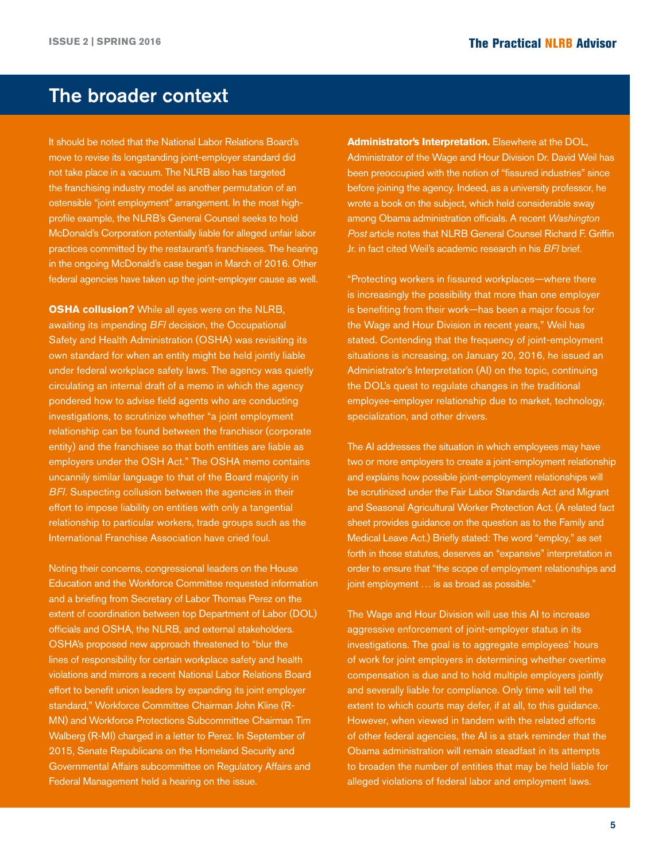# The broader context

It should be noted that the National Labor Relations Board's move to revise its longstanding joint-employer standard did not take place in a vacuum. The NLRB also has targeted the franchising industry model as another permutation of an ostensible "joint employment" arrangement. In the most highprofile example, the NLRB's General Counsel seeks to hold McDonald's Corporation potentially liable for alleged unfair labor practices committed by the restaurant's franchisees. The hearing in the ongoing McDonald's case began in March of 2016. Other federal agencies have taken up the joint-employer cause as well.

**OSHA collusion?** While all eyes were on the NLRB, awaiting its impending *BFI* decision, the Occupational Safety and Health Administration (OSHA) was revisiting its own standard for when an entity might be held jointly liable under federal workplace safety laws. The agency was quietly circulating an internal draft of a memo in which the agency pondered how to advise field agents who are conducting investigations, to scrutinize whether "a joint employment relationship can be found between the franchisor (corporate entity) and the franchisee so that both entities are liable as employers under the OSH Act." The OSHA memo contains uncannily similar language to that of the Board majority in *BFI*. Suspecting collusion between the agencies in their effort to impose liability on entities with only a tangential relationship to particular workers, trade groups such as the International Franchise Association have cried foul.

Noting their concerns, congressional leaders on the House Education and the Workforce Committee requested information and a briefing from Secretary of Labor Thomas Perez on the extent of coordination between top Department of Labor (DOL) officials and OSHA, the NLRB, and external stakeholders. OSHA's proposed new approach threatened to "blur the lines of responsibility for certain workplace safety and health violations and mirrors a recent National Labor Relations Board effort to benefit union leaders by expanding its joint employer standard," Workforce Committee Chairman John Kline (R-MN) and Workforce Protections Subcommittee Chairman Tim Walberg (R-MI) charged in a letter to Perez. In September of 2015, Senate Republicans on the Homeland Security and Governmental Affairs subcommittee on Regulatory Affairs and Federal Management held a hearing on the issue.

**Administrator's Interpretation.** Elsewhere at the DOL, Administrator of the Wage and Hour Division Dr. David Weil has been preoccupied with the notion of "fissured industries" since before joining the agency. Indeed, as a university professor, he wrote a book on the subject, which held considerable sway among Obama administration officials. A recent *Washington Post* article notes that NLRB General Counsel Richard F. Griffin Jr. in fact cited Weil's academic research in his *BFI* brief.

"Protecting workers in fissured workplaces—where there is increasingly the possibility that more than one employer is benefiting from their work—has been a major focus for the Wage and Hour Division in recent years," Weil has stated. Contending that the frequency of joint-employment situations is increasing, on January 20, 2016, he issued an Administrator's Interpretation (AI) on the topic, continuing the DOL's quest to regulate changes in the traditional employee-employer relationship due to market, technology, specialization, and other drivers.

The AI addresses the situation in which employees may have two or more employers to create a joint-employment relationship and explains how possible joint-employment relationships will be scrutinized under the Fair Labor Standards Act and Migrant and Seasonal Agricultural Worker Protection Act. (A related fact sheet provides guidance on the question as to the Family and Medical Leave Act.) Briefly stated: The word "employ," as set forth in those statutes, deserves an "expansive" interpretation in order to ensure that "the scope of employment relationships and joint employment … is as broad as possible."

The Wage and Hour Division will use this AI to increase aggressive enforcement of joint-employer status in its investigations. The goal is to aggregate employees' hours of work for joint employers in determining whether overtime compensation is due and to hold multiple employers jointly and severally liable for compliance. Only time will tell the extent to which courts may defer, if at all, to this guidance. However, when viewed in tandem with the related efforts of other federal agencies, the AI is a stark reminder that the Obama administration will remain steadfast in its attempts to broaden the number of entities that may be held liable for alleged violations of federal labor and employment laws.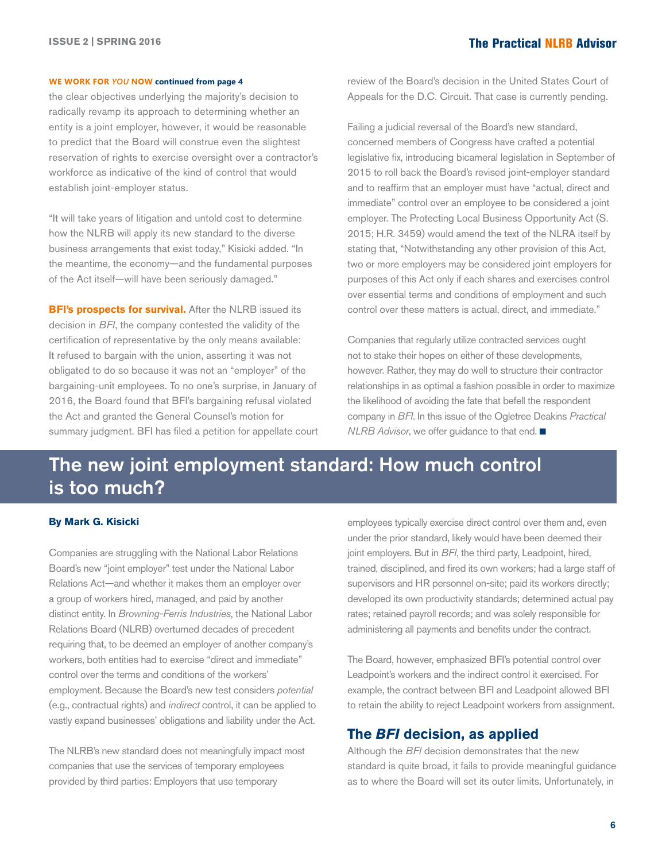#### <span id="page-5-0"></span>**WE WORK FOR** *YOU* **NOW continued from page 4**

the clear objectives underlying the majority's decision to radically revamp its approach to determining whether an entity is a joint employer, however, it would be reasonable to predict that the Board will construe even the slightest reservation of rights to exercise oversight over a contractor's workforce as indicative of the kind of control that would establish joint-employer status.

"It will take years of litigation and untold cost to determine how the NLRB will apply its new standard to the diverse business arrangements that exist today," Kisicki added. "In the meantime, the economy—and the fundamental purposes of the Act itself—will have been seriously damaged."

**BFI's prospects for survival.** After the NLRB issued its decision in *BFI*, the company contested the validity of the certification of representative by the only means available: It refused to bargain with the union, asserting it was not obligated to do so because it was not an "employer" of the bargaining-unit employees. To no one's surprise, in January of 2016, the Board found that BFI's bargaining refusal violated the Act and granted the General Counsel's motion for summary judgment. BFI has filed a petition for appellate court review of the Board's decision in the United States Court of Appeals for the D.C. Circuit. That case is currently pending.

Failing a judicial reversal of the Board's new standard, concerned members of Congress have crafted a potential legislative fix, introducing bicameral legislation in September of 2015 to roll back the Board's revised joint-employer standard and to reaffirm that an employer must have "actual, direct and immediate" control over an employee to be considered a joint employer. The Protecting Local Business Opportunity Act (S. 2015; H.R. 3459) would amend the text of the NLRA itself by stating that, "Notwithstanding any other provision of this Act, two or more employers may be considered joint employers for purposes of this Act only if each shares and exercises control over essential terms and conditions of employment and such control over these matters is actual, direct, and immediate."

Companies that regularly utilize contracted services ought not to stake their hopes on either of these developments, however. Rather, they may do well to structure their contractor relationships in as optimal a fashion possible in order to maximize the likelihood of avoiding the fate that befell the respondent company in *BFI*. In this issue of the Ogletree Deakins *Practical NLRB Advisor*, we offer guidance to that end. ■

# The new joint employment standard: How much control is too much?

#### **By Mark G. Kisicki**

Companies are struggling with the National Labor Relations Board's new "joint employer" test under the National Labor Relations Act—and whether it makes them an employer over a group of workers hired, managed, and paid by another distinct entity. In *Browning-Ferris Industries*, the National Labor Relations Board (NLRB) overturned decades of precedent requiring that, to be deemed an employer of another company's workers, both entities had to exercise "direct and immediate" control over the terms and conditions of the workers' employment. Because the Board's new test considers *potential* (e.g., contractual rights) and *indirect* control, it can be applied to vastly expand businesses' obligations and liability under the Act.

The NLRB's new standard does not meaningfully impact most companies that use the services of temporary employees provided by third parties: Employers that use temporary

employees typically exercise direct control over them and, even under the prior standard, likely would have been deemed their joint employers. But in *BFI*, the third party, Leadpoint, hired, trained, disciplined, and fired its own workers; had a large staff of supervisors and HR personnel on-site; paid its workers directly; developed its own productivity standards; determined actual pay rates; retained payroll records; and was solely responsible for administering all payments and benefits under the contract.

The Board, however, emphasized BFI's potential control over Leadpoint's workers and the indirect control it exercised. For example, the contract between BFI and Leadpoint allowed BFI to retain the ability to reject Leadpoint workers from assignment.

#### **The** *BFI* **decision, as applied**

Although the *BFI* decision demonstrates that the new standard is quite broad, it fails to provide meaningful guidance as to where the Board will set its outer limits. Unfortunately, in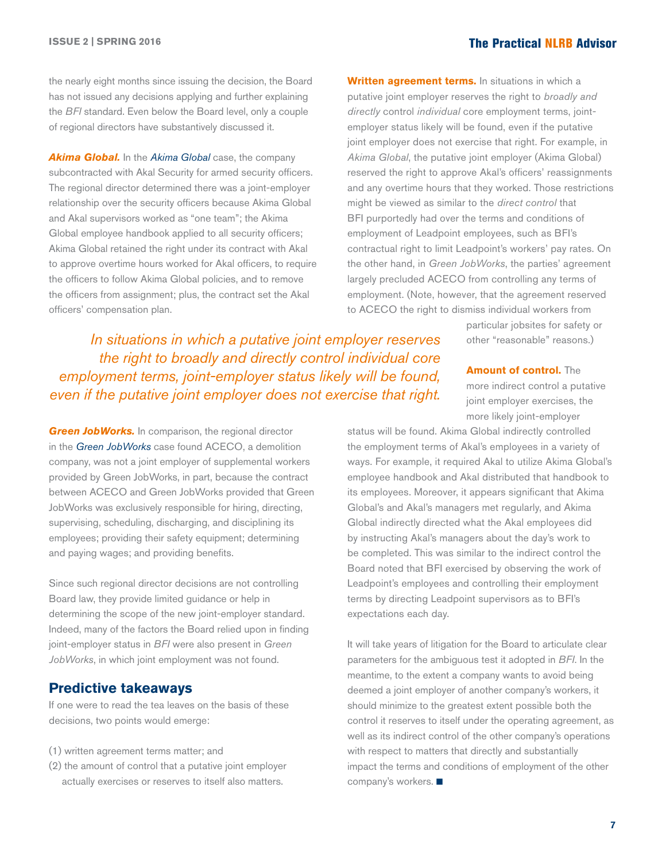the nearly eight months since issuing the decision, the Board has not issued any decisions applying and further explaining the *BFI* standard. Even below the Board level, only a couple of regional directors have substantively discussed it.

*Akima Global.* In the *[Akima Global](http://hr.cch.com/ELD/AkimaGlobal110615.pdf)* case, the company subcontracted with Akal Security for armed security officers. The regional director determined there was a joint-employer relationship over the security officers because Akima Global and Akal supervisors worked as "one team"; the Akima Global employee handbook applied to all security officers; Akima Global retained the right under its contract with Akal to approve overtime hours worked for Akal officers, to require the officers to follow Akima Global policies, and to remove the officers from assignment; plus, the contract set the Akal officers' compensation plan.

**Written agreement terms.** In situations in which a putative joint employer reserves the right to *broadly and directly* control *individual* core employment terms, jointemployer status likely will be found, even if the putative joint employer does not exercise that right. For example, in *Akima Global*, the putative joint employer (Akima Global) reserved the right to approve Akal's officers' reassignments and any overtime hours that they worked. Those restrictions might be viewed as similar to the *direct control* that BFI purportedly had over the terms and conditions of employment of Leadpoint employees, such as BFI's contractual right to limit Leadpoint's workers' pay rates. On the other hand, in *Green JobWorks*, the parties' agreement largely precluded ACECO from controlling any terms of employment. (Note, however, that the agreement reserved to ACECO the right to dismiss individual workers from

> particular jobsites for safety or other "reasonable" reasons.)

*In situations in which a putative joint employer reserves the right to broadly and directly control individual core employment terms, joint-employer status likely will be found, even if the putative joint employer does not exercise that right.*

**Green JobWorks.** In comparison, the regional director in the *[Green JobWorks](http://hr.cch.com/ELD/GreenJobWorks102115.pdf)* case found ACECO, a demolition company, was not a joint employer of supplemental workers provided by Green JobWorks, in part, because the contract between ACECO and Green JobWorks provided that Green JobWorks was exclusively responsible for hiring, directing, supervising, scheduling, discharging, and disciplining its employees; providing their safety equipment; determining and paying wages; and providing benefits.

Since such regional director decisions are not controlling Board law, they provide limited guidance or help in determining the scope of the new joint-employer standard. Indeed, many of the factors the Board relied upon in finding joint-employer status in *BFI* were also present in *Green JobWorks*, in which joint employment was not found.

#### **Predictive takeaways**

If one were to read the tea leaves on the basis of these decisions, two points would emerge:

- (1) written agreement terms matter; and
- (2) the amount of control that a putative joint employer actually exercises or reserves to itself also matters.

**Amount of control.** The more indirect control a putative joint employer exercises, the more likely joint-employer

status will be found. Akima Global indirectly controlled the employment terms of Akal's employees in a variety of ways. For example, it required Akal to utilize Akima Global's employee handbook and Akal distributed that handbook to its employees. Moreover, it appears significant that Akima Global's and Akal's managers met regularly, and Akima Global indirectly directed what the Akal employees did by instructing Akal's managers about the day's work to be completed. This was similar to the indirect control the Board noted that BFI exercised by observing the work of Leadpoint's employees and controlling their employment terms by directing Leadpoint supervisors as to BFI's expectations each day.

It will take years of litigation for the Board to articulate clear parameters for the ambiguous test it adopted in *BFI*. In the meantime, to the extent a company wants to avoid being deemed a joint employer of another company's workers, it should minimize to the greatest extent possible both the control it reserves to itself under the operating agreement, as well as its indirect control of the other company's operations with respect to matters that directly and substantially impact the terms and conditions of employment of the other company's workers.  $\blacksquare$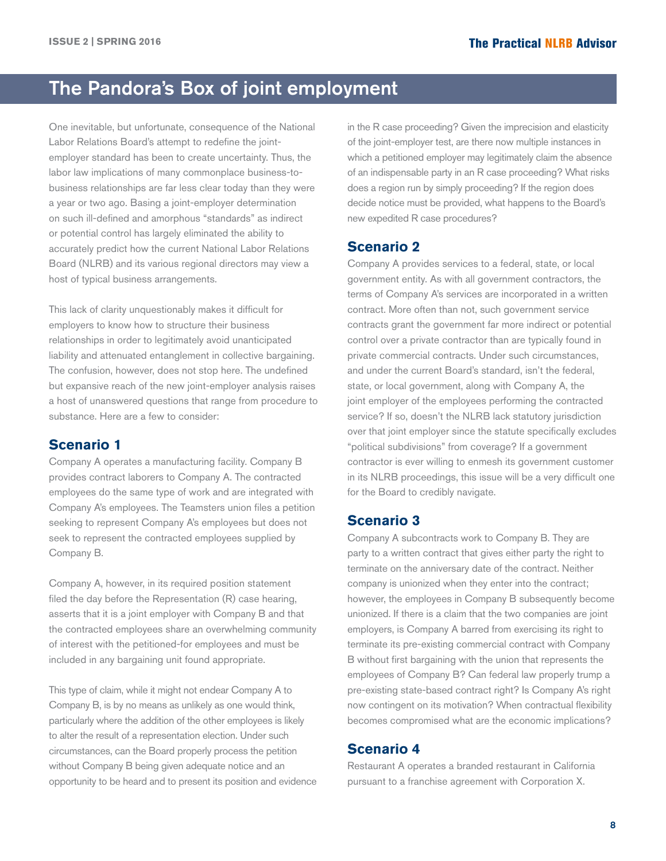# <span id="page-7-0"></span>The Pandora's Box of joint employment

One inevitable, but unfortunate, consequence of the National Labor Relations Board's attempt to redefine the jointemployer standard has been to create uncertainty. Thus, the labor law implications of many commonplace business-tobusiness relationships are far less clear today than they were a year or two ago. Basing a joint-employer determination on such ill-defined and amorphous "standards" as indirect or potential control has largely eliminated the ability to accurately predict how the current National Labor Relations Board (NLRB) and its various regional directors may view a host of typical business arrangements.

This lack of clarity unquestionably makes it difficult for employers to know how to structure their business relationships in order to legitimately avoid unanticipated liability and attenuated entanglement in collective bargaining. The confusion, however, does not stop here. The undefined but expansive reach of the new joint-employer analysis raises a host of unanswered questions that range from procedure to substance. Here are a few to consider:

#### **Scenario 1**

Company A operates a manufacturing facility. Company B provides contract laborers to Company A. The contracted employees do the same type of work and are integrated with Company A's employees. The Teamsters union files a petition seeking to represent Company A's employees but does not seek to represent the contracted employees supplied by Company B.

Company A, however, in its required position statement filed the day before the Representation (R) case hearing, asserts that it is a joint employer with Company B and that the contracted employees share an overwhelming community of interest with the petitioned-for employees and must be included in any bargaining unit found appropriate.

This type of claim, while it might not endear Company A to Company B, is by no means as unlikely as one would think, particularly where the addition of the other employees is likely to alter the result of a representation election. Under such circumstances, can the Board properly process the petition without Company B being given adequate notice and an opportunity to be heard and to present its position and evidence

in the R case proceeding? Given the imprecision and elasticity of the joint-employer test, are there now multiple instances in which a petitioned employer may legitimately claim the absence of an indispensable party in an R case proceeding? What risks does a region run by simply proceeding? If the region does decide notice must be provided, what happens to the Board's new expedited R case procedures?

#### **Scenario 2**

Company A provides services to a federal, state, or local government entity. As with all government contractors, the terms of Company A's services are incorporated in a written contract. More often than not, such government service contracts grant the government far more indirect or potential control over a private contractor than are typically found in private commercial contracts. Under such circumstances, and under the current Board's standard, isn't the federal, state, or local government, along with Company A, the joint employer of the employees performing the contracted service? If so, doesn't the NLRB lack statutory jurisdiction over that joint employer since the statute specifically excludes "political subdivisions" from coverage? If a government contractor is ever willing to enmesh its government customer in its NLRB proceedings, this issue will be a very difficult one for the Board to credibly navigate.

#### **Scenario 3**

Company A subcontracts work to Company B. They are party to a written contract that gives either party the right to terminate on the anniversary date of the contract. Neither company is unionized when they enter into the contract; however, the employees in Company B subsequently become unionized. If there is a claim that the two companies are joint employers, is Company A barred from exercising its right to terminate its pre-existing commercial contract with Company B without first bargaining with the union that represents the employees of Company B? Can federal law properly trump a pre-existing state-based contract right? Is Company A's right now contingent on its motivation? When contractual flexibility becomes compromised what are the economic implications?

#### **Scenario 4**

Restaurant A operates a branded restaurant in California pursuant to a franchise agreement with Corporation X.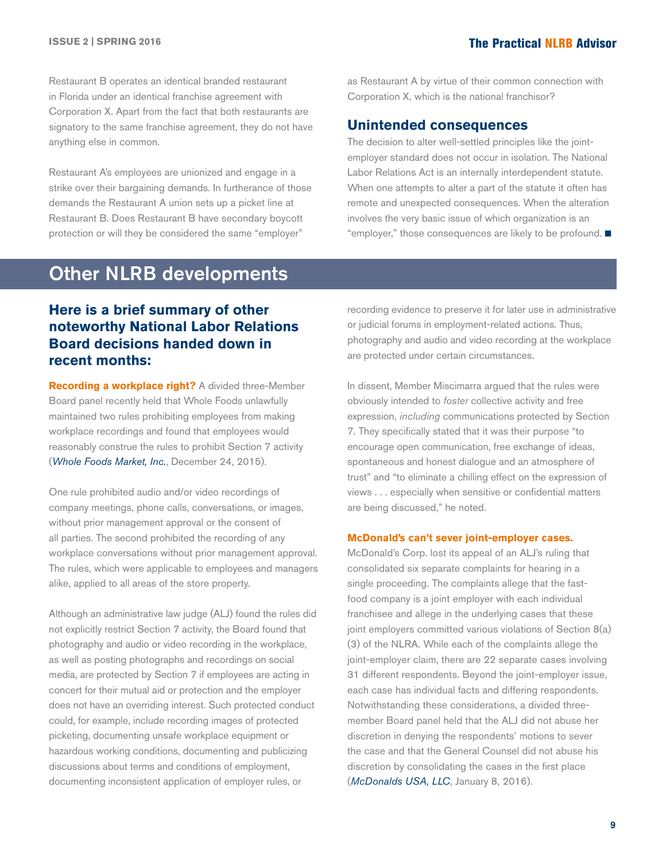<span id="page-8-0"></span>Restaurant B operates an identical branded restaurant in Florida under an identical franchise agreement with Corporation X. Apart from the fact that both restaurants are signatory to the same franchise agreement, they do not have anything else in common.

Restaurant A's employees are unionized and engage in a strike over their bargaining demands. In furtherance of those demands the Restaurant A union sets up a picket line at Restaurant B. Does Restaurant B have secondary boycott protection or will they be considered the same "employer"

# Other NLRB developments

as Restaurant A by virtue of their common connection with Corporation X, which is the national franchisor?

#### **Unintended consequences**

The decision to alter well-settled principles like the jointemployer standard does not occur in isolation. The National Labor Relations Act is an internally interdependent statute. When one attempts to alter a part of the statute it often has remote and unexpected consequences. When the alteration involves the very basic issue of which organization is an "employer," those consequences are likely to be profound.  $\blacksquare$ 

### **Here is a brief summary of other noteworthy National Labor Relations Board decisions handed down in recent months:**

**Recording a workplace right?** A divided three-Member Board panel recently held that Whole Foods unlawfully maintained two rules prohibiting employees from making workplace recordings and found that employees would reasonably construe the rules to prohibit Section 7 activity (*[Whole Foods Market, Inc.](http://hr.cch.com/ELD/WholeFoods122415.pdf)*, December 24, 2015).

One rule prohibited audio and/or video recordings of company meetings, phone calls, conversations, or images, without prior management approval or the consent of all parties. The second prohibited the recording of any workplace conversations without prior management approval. The rules, which were applicable to employees and managers alike, applied to all areas of the store property.

Although an administrative law judge (ALJ) found the rules did not explicitly restrict Section 7 activity, the Board found that photography and audio or video recording in the workplace, as well as posting photographs and recordings on social media, are protected by Section 7 if employees are acting in concert for their mutual aid or protection and the employer does not have an overriding interest. Such protected conduct could, for example, include recording images of protected picketing, documenting unsafe workplace equipment or hazardous working conditions, documenting and publicizing discussions about terms and conditions of employment, documenting inconsistent application of employer rules, or

recording evidence to preserve it for later use in administrative or judicial forums in employment-related actions. Thus, photography and audio and video recording at the workplace are protected under certain circumstances.

In dissent, Member Miscimarra argued that the rules were obviously intended to *foster* collective activity and free expression, *including* communications protected by Section 7. They specifically stated that it was their purpose "to encourage open communication, free exchange of ideas, spontaneous and honest dialogue and an atmosphere of trust" and "to eliminate a chilling effect on the expression of views . . . especially when sensitive or confidential matters are being discussed," he noted.

#### **McDonald's can't sever joint-employer cases.**

McDonald's Corp. lost its appeal of an ALJ's ruling that consolidated six separate complaints for hearing in a single proceeding. The complaints allege that the fastfood company is a joint employer with each individual franchisee and allege in the underlying cases that these joint employers committed various violations of Section 8(a) (3) of the NLRA. While each of the complaints allege the joint-employer claim, there are 22 separate cases involving 31 different respondents. Beyond the joint-employer issue, each case has individual facts and differing respondents. Notwithstanding these considerations, a divided threemember Board panel held that the ALJ did not abuse her discretion in denying the respondents' motions to sever the case and that the General Counsel did not abuse his discretion by consolidating the cases in the first place (*[McDonalds USA, LLC](http://hr.cch.com/ELD/McDonalds010816.pdf)*, January 8, 2016).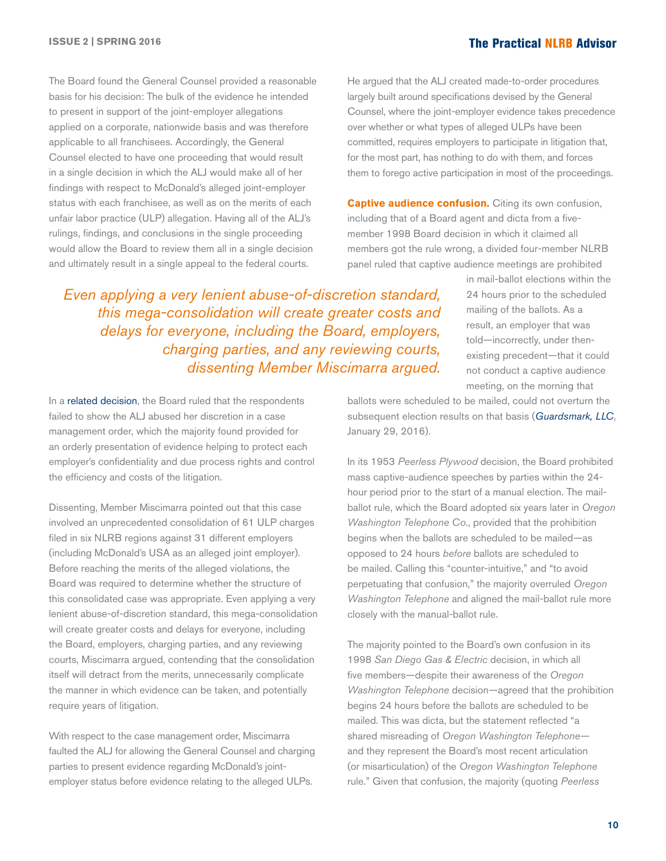The Board found the General Counsel provided a reasonable basis for his decision: The bulk of the evidence he intended to present in support of the joint-employer allegations applied on a corporate, nationwide basis and was therefore applicable to all franchisees. Accordingly, the General Counsel elected to have one proceeding that would result in a single decision in which the ALJ would make all of her findings with respect to McDonald's alleged joint-employer status with each franchisee, as well as on the merits of each unfair labor practice (ULP) allegation. Having all of the ALJ's rulings, findings, and conclusions in the single proceeding would allow the Board to review them all in a single decision and ultimately result in a single appeal to the federal courts.

He argued that the ALJ created made-to-order procedures largely built around specifications devised by the General Counsel, where the joint-employer evidence takes precedence over whether or what types of alleged ULPs have been committed, requires employers to participate in litigation that, for the most part, has nothing to do with them, and forces them to forego active participation in most of the proceedings.

**Captive audience confusion.** Citing its own confusion, including that of a Board agent and dicta from a fivemember 1998 Board decision in which it claimed all members got the rule wrong, a divided four-member NLRB panel ruled that captive audience meetings are prohibited

*Even applying a very lenient abuse-of-discretion standard, this mega-consolidation will create greater costs and delays for everyone, including the Board, employers, charging parties, and any reviewing courts, dissenting Member Miscimarra argued.*

In a [related decision](http://hr.cch.com/ELD/McDonalds_second010816.pdf), the Board ruled that the respondents failed to show the ALJ abused her discretion in a case management order, which the majority found provided for an orderly presentation of evidence helping to protect each employer's confidentiality and due process rights and control the efficiency and costs of the litigation.

Dissenting, Member Miscimarra pointed out that this case involved an unprecedented consolidation of 61 ULP charges filed in six NLRB regions against 31 different employers (including McDonald's USA as an alleged joint employer). Before reaching the merits of the alleged violations, the Board was required to determine whether the structure of this consolidated case was appropriate. Even applying a very lenient abuse-of-discretion standard, this mega-consolidation will create greater costs and delays for everyone, including the Board, employers, charging parties, and any reviewing courts, Miscimarra argued, contending that the consolidation itself will detract from the merits, unnecessarily complicate the manner in which evidence can be taken, and potentially require years of litigation.

With respect to the case management order, Miscimarra faulted the ALJ for allowing the General Counsel and charging parties to present evidence regarding McDonald's jointemployer status before evidence relating to the alleged ULPs.

in mail-ballot elections within the 24 hours prior to the scheduled mailing of the ballots. As a result, an employer that was told—incorrectly, under thenexisting precedent—that it could not conduct a captive audience meeting, on the morning that

ballots were scheduled to be mailed, could not overturn the subsequent election results on that basis (*[Guardsmark, LLC](http://hr.cch.com/ELD/Guardsmark012916.pdf)*, January 29, 2016).

In its 1953 *Peerless Plywood* decision, the Board prohibited mass captive-audience speeches by parties within the 24 hour period prior to the start of a manual election. The mailballot rule, which the Board adopted six years later in *Oregon Washington Telephone Co.*, provided that the prohibition begins when the ballots are scheduled to be mailed—as opposed to 24 hours *before* ballots are scheduled to be mailed. Calling this "counter-intuitive," and "to avoid perpetuating that confusion," the majority overruled *Oregon Washington Telephone* and aligned the mail-ballot rule more closely with the manual-ballot rule.

The majority pointed to the Board's own confusion in its 1998 *San Diego Gas & Electric* decision, in which all five members—despite their awareness of the *Oregon Washington Telephone* decision—agreed that the prohibition begins 24 hours before the ballots are scheduled to be mailed. This was dicta, but the statement reflected "a shared misreading of *Oregon Washington Telephone* and they represent the Board's most recent articulation (or misarticulation) of the *Oregon Washington Telephone*  rule." Given that confusion, the majority (quoting *Peerless*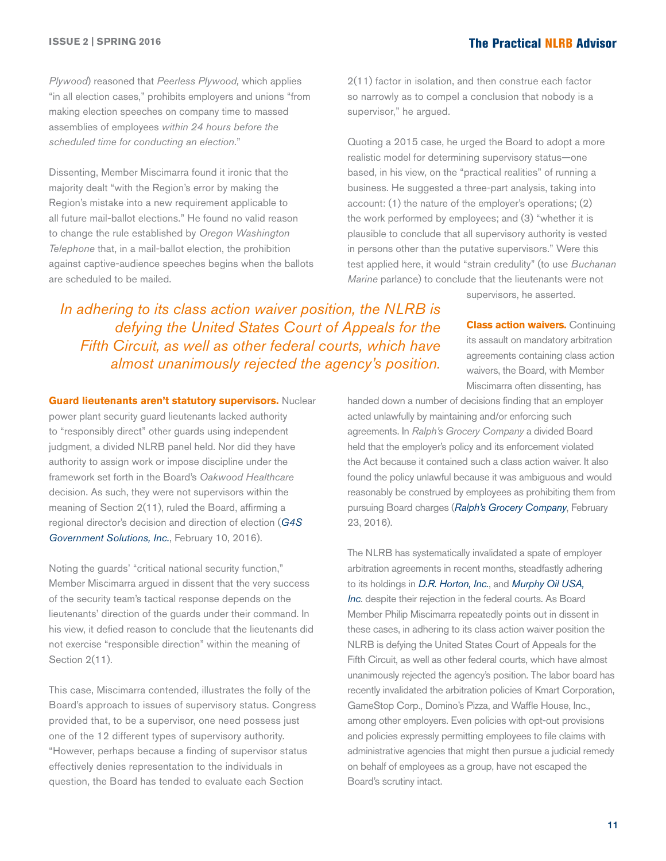*Plywood*) reasoned that *Peerless Plywood,* which applies "in all election cases," prohibits employers and unions "from making election speeches on company time to massed assemblies of employees *within 24 hours before the scheduled time for conducting an election*."

Dissenting, Member Miscimarra found it ironic that the majority dealt "with the Region's error by making the Region's mistake into a new requirement applicable to all future mail-ballot elections." He found no valid reason to change the rule established by *Oregon Washington Telephone* that, in a mail-ballot election, the prohibition against captive-audience speeches begins when the ballots are scheduled to be mailed.

2(11) factor in isolation, and then construe each factor so narrowly as to compel a conclusion that nobody is a supervisor," he argued.

Quoting a 2015 case, he urged the Board to adopt a more realistic model for determining supervisory status—one based, in his view, on the "practical realities" of running a business. He suggested a three-part analysis, taking into account: (1) the nature of the employer's operations; (2) the work performed by employees; and (3) "whether it is plausible to conclude that all supervisory authority is vested in persons other than the putative supervisors." Were this test applied here, it would "strain credulity" (to use *Buchanan Marine* parlance) to conclude that the lieutenants were not

supervisors, he asserted.

*In adhering to its class action waiver position, the NLRB is defying the United States Court of Appeals for the Fifth Circuit, as well as other federal courts, which have almost unanimously rejected the agency's position.*

**Guard lieutenants aren't statutory supervisors.** Nuclear

power plant security guard lieutenants lacked authority to "responsibly direct" other guards using independent judgment, a divided NLRB panel held. Nor did they have authority to assign work or impose discipline under the framework set forth in the Board's *Oakwood Healthcare* decision. As such, they were not supervisors within the meaning of Section 2(11), ruled the Board, affirming a regional director's decision and direction of election (*[G4S](http://hr.cch.com/ELD/G4S02102016.pdf)  [Government Solutions, Inc.](http://hr.cch.com/ELD/G4S02102016.pdf)*, February 10, 2016).

Noting the guards' "critical national security function," Member Miscimarra argued in dissent that the very success of the security team's tactical response depends on the lieutenants' direction of the guards under their command. In his view, it defied reason to conclude that the lieutenants did not exercise "responsible direction" within the meaning of Section 2(11).

This case, Miscimarra contended, illustrates the folly of the Board's approach to issues of supervisory status. Congress provided that, to be a supervisor, one need possess just one of the 12 different types of supervisory authority. "However, perhaps because a finding of supervisor status effectively denies representation to the individuals in question, the Board has tended to evaluate each Section

**Class action waivers. Continuing** its assault on mandatory arbitration agreements containing class action waivers, the Board, with Member Miscimarra often dissenting, has

handed down a number of decisions finding that an employer acted unlawfully by maintaining and/or enforcing such agreements. In *Ralph's Grocery Company* a divided Board held that the employer's policy and its enforcement violated the Act because it contained such a class action waiver. It also found the policy unlawful because it was ambiguous and would reasonably be construed by employees as prohibiting them from pursuing Board charges (*[Ralph's Grocery Company](http://hr.cch.com/ELD/Ralphs022316.pdf)*, February 23, 2016).

The NLRB has systematically invalidated a spate of employer arbitration agreements in recent months, steadfastly adhering to its holdings in *[D.R. Horton, Inc.](http://hr.cch.com/eld/DRHorton.pdf)*, and *[Murphy Oil USA,](http://hr.cch.com/ELD/MurphyOil.pdf)  [Inc](http://hr.cch.com/ELD/MurphyOil.pdf)*. despite their rejection in the federal courts. As Board Member Philip Miscimarra repeatedly points out in dissent in these cases, in adhering to its class action waiver position the NLRB is defying the United States Court of Appeals for the Fifth Circuit, as well as other federal courts, which have almost unanimously rejected the agency's position. The labor board has recently invalidated the arbitration policies of Kmart Corporation, GameStop Corp., Domino's Pizza, and Waffle House, Inc., among other employers. Even policies with opt-out provisions and policies expressly permitting employees to file claims with administrative agencies that might then pursue a judicial remedy on behalf of employees as a group, have not escaped the Board's scrutiny intact.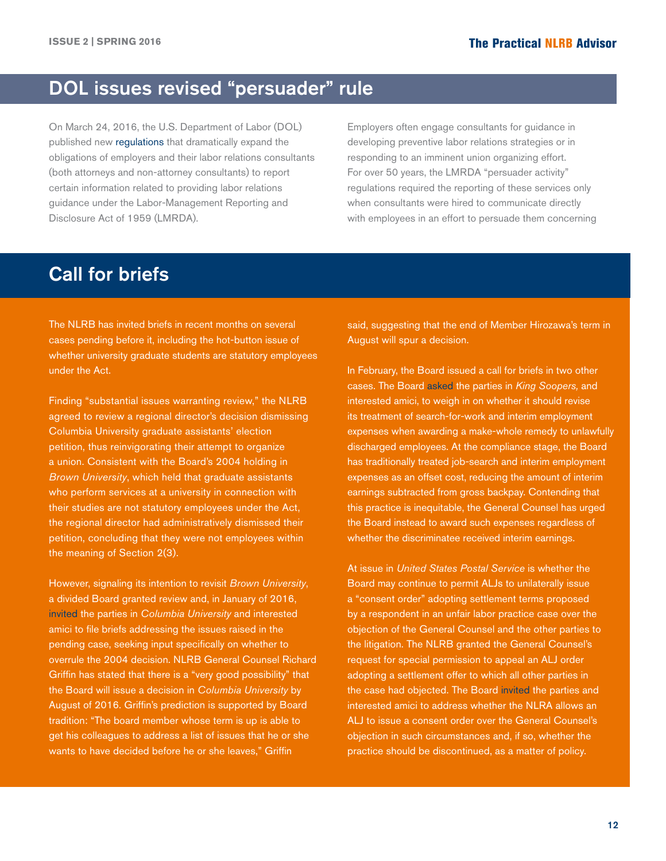# <span id="page-11-0"></span>DOL issues revised "persuader" rule

On March 24, 2016, the U.S. Department of Labor (DOL) published new [regulations](http://hr.cch.com/ELD/publicinspectionfederalregistergov.pdf) that dramatically expand the obligations of employers and their labor relations consultants (both attorneys and non-attorney consultants) to report certain information related to providing labor relations guidance under the Labor-Management Reporting and Disclosure Act of 1959 (LMRDA).

Employers often engage consultants for guidance in developing preventive labor relations strategies or in responding to an imminent union organizing effort. For over 50 years, the LMRDA "persuader activity" regulations required the reporting of these services only when consultants were hired to communicate directly with employees in an effort to persuade them concerning

# Call for briefs

The NLRB has invited briefs in recent months on several cases pending before it, including the hot-button issue of whether university graduate students are statutory employees under the Act.

Finding "substantial issues warranting review," the NLRB agreed to review a regional director's decision dismissing Columbia University graduate assistants' election petition, thus reinvigorating their attempt to organize a union. Consistent with the Board's 2004 holding in *Brown University*, which held that graduate assistants who perform services at a university in connection with their studies are not statutory employees under the Act, the regional director had administratively dismissed their petition, concluding that they were not employees within the meaning of Section 2(3).

However, signaling its intention to revisit *Brown University*, a divided Board granted review and, in January of 2016, [invited](https://www.nlrb.gov/news-outreach/news-story/board-invites-briefs-columbia-university) the parties in *Columbia University* and interested amici to file briefs addressing the issues raised in the pending case, seeking input specifically on whether to overrule the 2004 decision. NLRB General Counsel Richard Griffin has stated that there is a "very good possibility" that the Board will issue a decision in *Columbia University* by August of 2016. Griffin's prediction is supported by Board tradition: "The board member whose term is up is able to get his colleagues to address a list of issues that he or she wants to have decided before he or she leaves," Griffin

said, suggesting that the end of Member Hirozawa's term in August will spur a decision.

In February, the Board issued a call for briefs in two other cases. The Board [asked](http://hr.cch.com/ELD/KingSoopersBriefRequest.pdf) the parties in *King Soopers,* and interested amici, to weigh in on whether it should revise its treatment of search-for-work and interim employment expenses when awarding a make-whole remedy to unlawfully discharged employees. At the compliance stage, the Board has traditionally treated job-search and interim employment expenses as an offset cost, reducing the amount of interim earnings subtracted from gross backpay. Contending that this practice is inequitable, the General Counsel has urged the Board instead to award such expenses regardless of whether the discriminatee received interim earnings.

At issue in *United States Postal Service* is whether the Board may continue to permit ALJs to unilaterally issue a "consent order" adopting settlement terms proposed by a respondent in an unfair labor practice case over the objection of the General Counsel and the other parties to the litigation. The NLRB granted the General Counsel's request for special permission to appeal an ALJ order adopting a settlement offer to which all other parties in the case had objected. The Board [invited](http://hr.cch.com/ELD/USPSBriefRequest.pdf) the parties and interested amici to address whether the NLRA allows an ALJ to issue a consent order over the General Counsel's objection in such circumstances and, if so, whether the practice should be discontinued, as a matter of policy.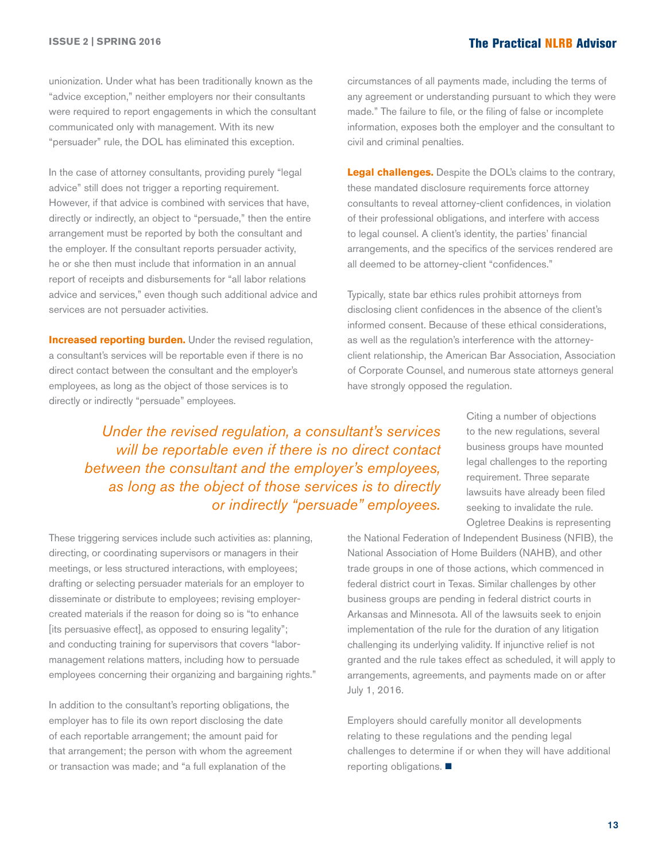unionization. Under what has been traditionally known as the "advice exception," neither employers nor their consultants were required to report engagements in which the consultant communicated only with management. With its new "persuader" rule, the DOL has eliminated this exception.

In the case of attorney consultants, providing purely "legal advice" still does not trigger a reporting requirement. However, if that advice is combined with services that have, directly or indirectly, an object to "persuade," then the entire arrangement must be reported by both the consultant and the employer. If the consultant reports persuader activity, he or she then must include that information in an annual report of receipts and disbursements for "all labor relations advice and services," even though such additional advice and services are not persuader activities.

**Increased reporting burden.** Under the revised regulation, a consultant's services will be reportable even if there is no direct contact between the consultant and the employer's employees, as long as the object of those services is to directly or indirectly "persuade" employees.

circumstances of all payments made, including the terms of any agreement or understanding pursuant to which they were made." The failure to file, or the filing of false or incomplete information, exposes both the employer and the consultant to civil and criminal penalties.

**Legal challenges.** Despite the DOL's claims to the contrary, these mandated disclosure requirements force attorney consultants to reveal attorney-client confidences, in violation of their professional obligations, and interfere with access to legal counsel. A client's identity, the parties' financial arrangements, and the specifics of the services rendered are all deemed to be attorney-client "confidences."

Typically, state bar ethics rules prohibit attorneys from disclosing client confidences in the absence of the client's informed consent. Because of these ethical considerations, as well as the regulation's interference with the attorneyclient relationship, the American Bar Association, Association of Corporate Counsel, and numerous state attorneys general have strongly opposed the regulation.

*Under the revised regulation, a consultant's services will be reportable even if there is no direct contact between the consultant and the employer's employees, as long as the object of those services is to directly or indirectly "persuade" employees.*

These triggering services include such activities as: planning, directing, or coordinating supervisors or managers in their meetings, or less structured interactions, with employees; drafting or selecting persuader materials for an employer to disseminate or distribute to employees; revising employercreated materials if the reason for doing so is "to enhance [its persuasive effect], as opposed to ensuring legality"; and conducting training for supervisors that covers "labormanagement relations matters, including how to persuade employees concerning their organizing and bargaining rights."

In addition to the consultant's reporting obligations, the employer has to file its own report disclosing the date of each reportable arrangement; the amount paid for that arrangement; the person with whom the agreement or transaction was made; and "a full explanation of the

Citing a number of objections to the new regulations, several business groups have mounted legal challenges to the reporting requirement. Three separate lawsuits have already been filed seeking to invalidate the rule. Ogletree Deakins is representing

the National Federation of Independent Business (NFIB), the National Association of Home Builders (NAHB), and other trade groups in one of those actions, which commenced in federal district court in Texas. Similar challenges by other business groups are pending in federal district courts in Arkansas and Minnesota. All of the lawsuits seek to enjoin implementation of the rule for the duration of any litigation challenging its underlying validity. If injunctive relief is not granted and the rule takes effect as scheduled, it will apply to arrangements, agreements, and payments made on or after July 1, 2016.

Employers should carefully monitor all developments relating to these regulations and the pending legal challenges to determine if or when they will have additional reporting obligations.  $\blacksquare$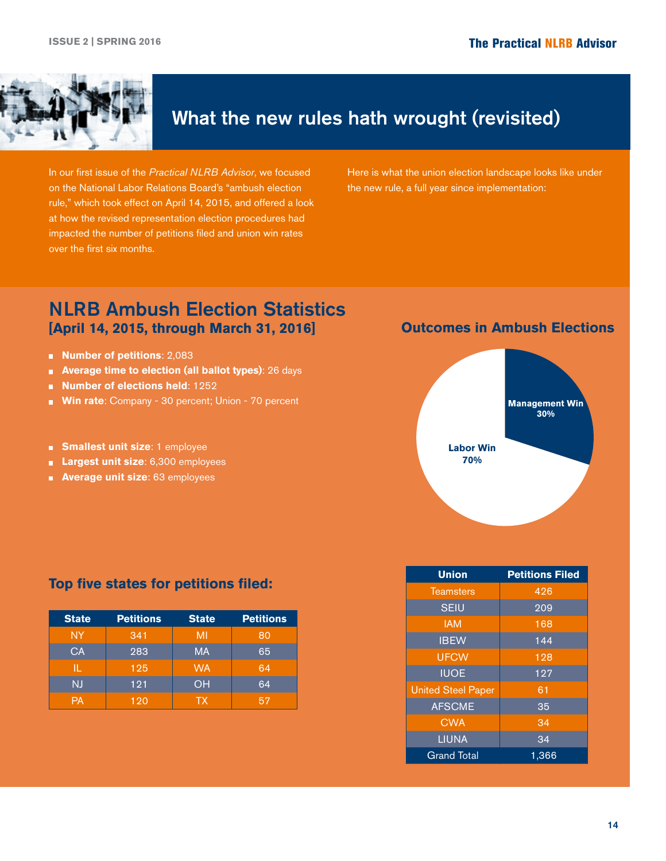<span id="page-13-0"></span>

# What the new rules hath wrought (revisited)

In our first issue of the *Practical NLRB Advisor*, we focused on the National Labor Relations Board's "ambush election rule," which took effect on April 14, 2015, and offered a look at how the revised representation election procedures had impacted the number of petitions filed and union win rates over the first six months.

Here is what the union election landscape looks like under the new rule, a full year since implementation:

## NLRB Ambush Election Statistics **[April 14, 2015, through March 31, 2016] Outcomes in Ambush Elections**

- **Number of petitions**: 2,083
- **Average time to election (all ballot types)**: 26 days
- **Number of elections held**: 1252
- **Win rate: Company 30 percent; Union 70 percent**
- **Smallest unit size:** 1 employee
- **Largest unit size:** 6,300 employees
- **Average unit size: 63 employees**





#### **Top five states for petitions filed:**

| <b>State</b> | <b>Petitions</b> | <b>State</b> | <b>Petitions</b> |
|--------------|------------------|--------------|------------------|
| NY           | 341              | MI           | 80               |
| CA           | 283              | <b>MA</b>    | 65               |
| IL           | 125              | <b>WA</b>    | 64               |
| NJ           | 121              | OH           | 64               |
| PА           | 120              | TX.          | 57               |

| <b>Union</b>              | <b>Petitions Filed</b> |  |
|---------------------------|------------------------|--|
| <b>Teamsters</b>          | 426                    |  |
| <b>SEIU</b>               | 209                    |  |
| <b>IAM</b>                | 168                    |  |
| <b>IBEW</b>               | 144                    |  |
| <b>UFCW</b>               | 128                    |  |
| <b>IUOE</b>               | 127                    |  |
| <b>United Steel Paper</b> | 61                     |  |
| <b>AFSCME</b>             | $3\overline{5}$        |  |
| <b>CWA</b>                | 34                     |  |
| <b>LIUNA</b>              | 34                     |  |
| <b>Grand Total</b>        | 1,366                  |  |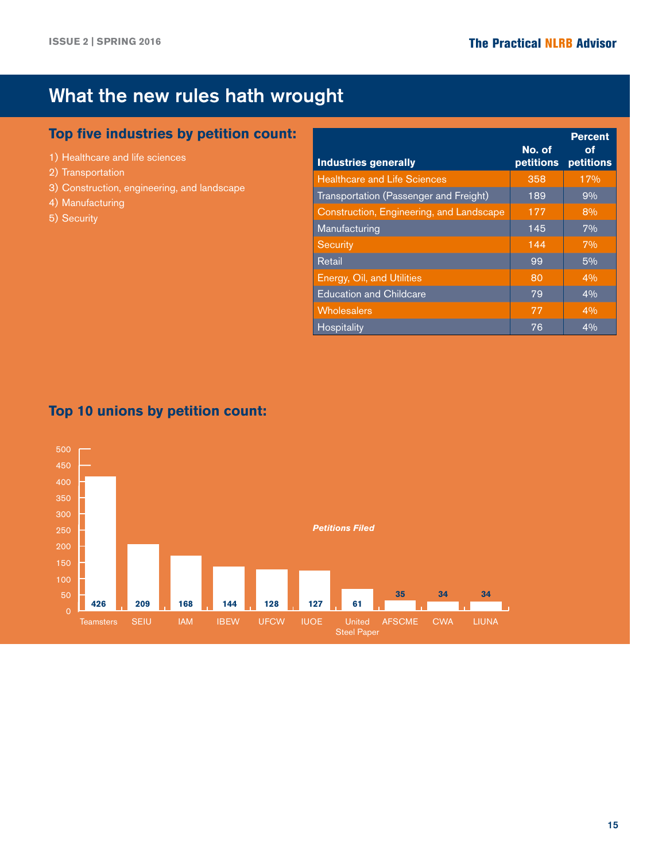# What the new rules hath wrought

## **Top five industries by petition count:**

- 1) Healthcare and life sciences
- 2) Transportation
- 3) Construction, engineering, and landscape
- 4) Manufacturing
- 5) Security

| <b>Industries generally</b>              | No. of<br>petitions | <b>Percent</b><br>οf<br>petitions |
|------------------------------------------|---------------------|-----------------------------------|
| <b>Healthcare and Life Sciences</b>      | 358                 | 17%                               |
| Transportation (Passenger and Freight)   | 189                 | 9%                                |
| Construction, Engineering, and Landscape | 177                 | 8%                                |
| Manufacturing                            | 145                 | 7%                                |
| Security                                 | 144                 | 7%                                |
| Retail                                   | 99                  | 5%                                |
| Energy, Oil, and Utilities               | 80                  | 4%                                |
| <b>Education and Childcare</b>           | 79                  | 4%                                |
| Wholesalers                              | 77                  | 4%                                |
| <b>Hospitality</b>                       | 76                  | 4%                                |

## **Top 10 unions by petition count:**